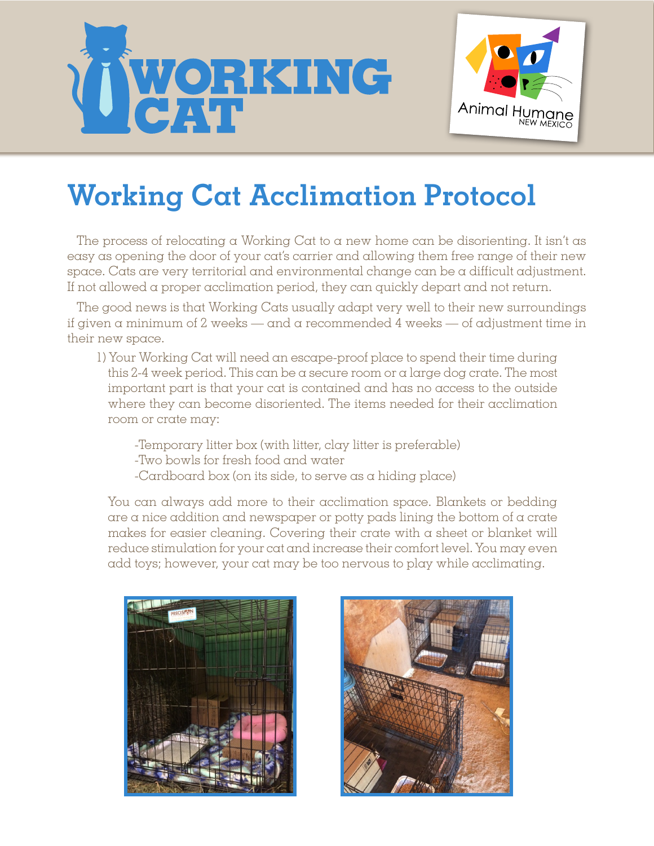



## **Working Cat Acclimation Protocol**

The process of relocating a Working Cat to a new home can be disorienting. It isn't as easy as opening the door of your cat's carrier and allowing them free range of their new space. Cats are very territorial and environmental change can be a difficult adjustment. If not allowed a proper acclimation period, they can quickly depart and not return.

The good news is that Working Cats usually adapt very well to their new surroundings if given  $\alpha$  minimum of 2 weeks — and  $\alpha$  recommended 4 weeks — of adjustment time in their new space.

- 1) Your Working Cat will need an escape-proof place to spend their time during this 2-4 week period. This can be a secure room or a large dog crate. The most important part is that your cat is contained and has no access to the outside where they can become disoriented. The items needed for their acclimation room or crate may:
	- -Temporary litter box (with litter, clay litter is preferable)
	- -Two bowls for fresh food and water
	- -Cardboard box (on its side, to serve as a hiding place)

You can always add more to their acclimation space. Blankets or bedding are a nice addition and newspaper or potty pads lining the bottom of a crate makes for easier cleaning. Covering their crate with a sheet or blanket will reduce stimulation for your cat and increase their comfort level. You may even add toys; however, your cat may be too nervous to play while acclimating.